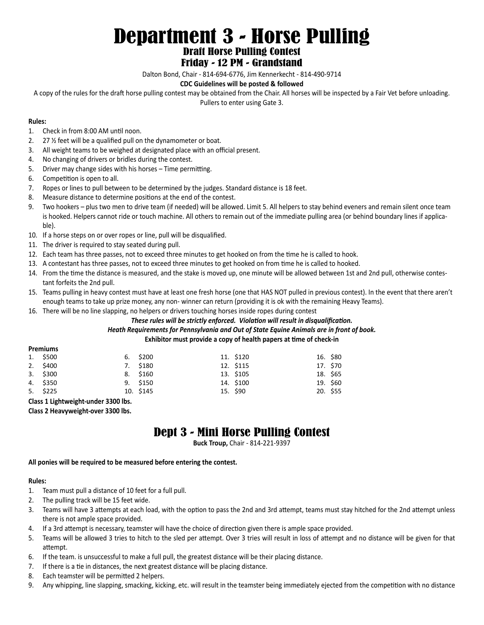# Department 3 - Horse Pulling Draft Horse Pulling Contest

## Friday - 12 PM - Grandstand

Dalton Bond, Chair - 814-694-6776, Jim Kennerkecht - 814-490-9714

### **CDC Guidelines will be posted & followed**

A copy of the rules for the draft horse pulling contest may be obtained from the Chair. All horses will be inspected by a Fair Vet before unloading. Pullers to enter using Gate 3.

#### **Rules:**

- 1. Check in from 8:00 AM until noon.
- 2. 27 ½ feet will be a qualified pull on the dynamometer or boat.
- 3. All weight teams to be weighed at designated place with an official present.
- 4. No changing of drivers or bridles during the contest.
- 5. Driver may change sides with his horses Time permitting.
- 6. Competition is open to all.
- 7. Ropes or lines to pull between to be determined by the judges. Standard distance is 18 feet.
- 8. Measure distance to determine positions at the end of the contest.
- 9. Two hookers plus two men to drive team (if needed) will be allowed. Limit 5. All helpers to stay behind eveners and remain silent once team is hooked. Helpers cannot ride or touch machine. All others to remain out of the immediate pulling area (or behind boundary lines if applicable).
- 10. If a horse steps on or over ropes or line, pull will be disqualified.
- 11. The driver is required to stay seated during pull.
- 12. Each team has three passes, not to exceed three minutes to get hooked on from the time he is called to hook.
- 13. A contestant has three passes, not to exceed three minutes to get hooked on from time he is called to hooked.
- 14. From the time the distance is measured, and the stake is moved up, one minute will be allowed between 1st and 2nd pull, otherwise contestant forfeits the 2nd pull.
- 15. Teams pulling in heavy contest must have at least one fresh horse (one that HAS NOT pulled in previous contest). In the event that there aren't enough teams to take up prize money, any non- winner can return (providing it is ok with the remaining Heavy Teams).

16. There will be no line slapping, no helpers or drivers touching horses inside ropes during contest

*These rules will be strictly enforced. Violation will result in disqualification.*

### *Heath Requirements for Pennsylvania and Out of State Equine Animals are in front of book.*

#### **Exhibitor must provide a copy of health papers at time of check-in**

| <b>Premiums</b> |            |  |            |  |           |  |          |
|-----------------|------------|--|------------|--|-----------|--|----------|
|                 | 1. \$500   |  | $6.$ \$200 |  | 11. \$120 |  | 16. \$80 |
|                 | 2. \$400   |  | 7. \$180   |  | 12. \$115 |  | 17. \$70 |
|                 | $3.$ \$300 |  | 8. \$160   |  | 13. \$105 |  | 18. \$65 |
|                 | 4. \$350   |  | 9. \$150   |  | 14. \$100 |  | 19. \$60 |
|                 | 5. \$225   |  | 10. \$145  |  | 15. \$90  |  | 20. \$55 |
|                 |            |  |            |  |           |  |          |

**Class 1 Lightweight-under 3300 lbs.**

**Class 2 Heavyweight-over 3300 lbs.**

## Dept 3 - Mini Horse Pulling Contest

**Buck Troup,** Chair - 814-221-9397

**All ponies will be required to be measured before entering the contest.**

#### **Rules:**

- 1. Team must pull a distance of 10 feet for a full pull.
- 2. The pulling track will be 15 feet wide.
- 3. Teams will have 3 attempts at each load, with the option to pass the 2nd and 3rd attempt, teams must stay hitched for the 2nd attempt unless there is not ample space provided.
- 4. If a 3rd attempt is necessary, teamster will have the choice of direction given there is ample space provided.
- 5. Teams will be allowed 3 tries to hitch to the sled per attempt. Over 3 tries will result in loss of attempt and no distance will be given for that attempt.
- 6. If the team. is unsuccessful to make a full pull, the greatest distance will be their placing distance.
- 7. If there is a tie in distances, the next greatest distance will be placing distance.
- 8. Each teamster will be permitted 2 helpers.
- 9. Any whipping, line slapping, smacking, kicking, etc. will result in the teamster being immediately ejected from the competition with no distance